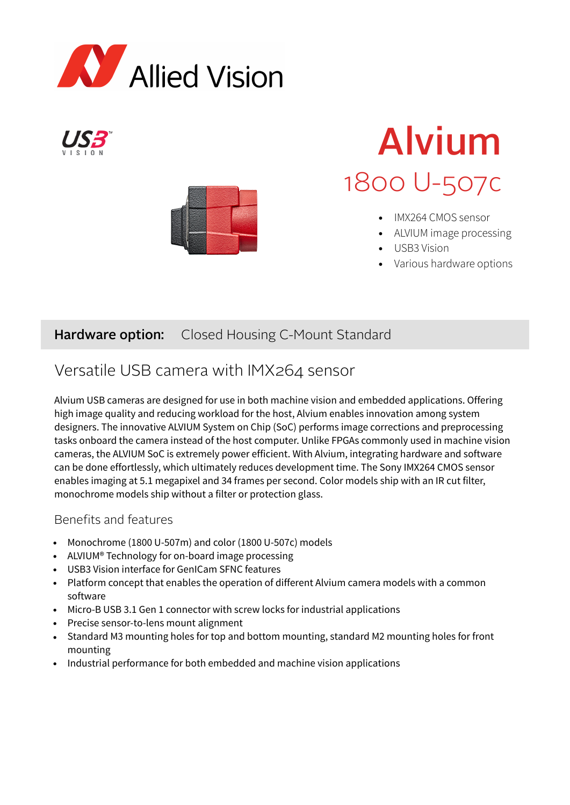





# Alvium 1800 U-507c

- IMX264 CMOS sensor
- ALVIUM image processing
- USB3 Vision
- Various hardware options

### Hardware option: Closed Housing C-Mount Standard

### Versatile USB camera with IMX264 sensor

Alvium USB cameras are designed for use in both machine vision and embedded applications. Offering high image quality and reducing workload for the host, Alvium enables innovation among system designers. The innovative ALVIUM System on Chip (SoC) performs image corrections and preprocessing tasks onboard the camera instead of the host computer. Unlike FPGAs commonly used in machine vision cameras, the ALVIUM SoC is extremely power efficient. With Alvium, integrating hardware and software can be done effortlessly, which ultimately reduces development time. The Sony IMX264 CMOS sensor enables imaging at 5.1 megapixel and 34 frames per second. Color models ship with an IR cut filter, monochrome models ship without a filter or protection glass.

### Benefits and features

- Monochrome (1800 U-507m) and color (1800 U-507c) models
- ALVIUM® Technology for on-board image processing
- USB3 Vision interface for GenICam SFNC features
- Platform concept that enables the operation of different Alvium camera models with a common software
- Micro-B USB 3.1 Gen 1 connector with screw locks for industrial applications
- Precise sensor-to-lens mount alignment
- Standard M3 mounting holes for top and bottom mounting, standard M2 mounting holes for front mounting
- Industrial performance for both embedded and machine vision applications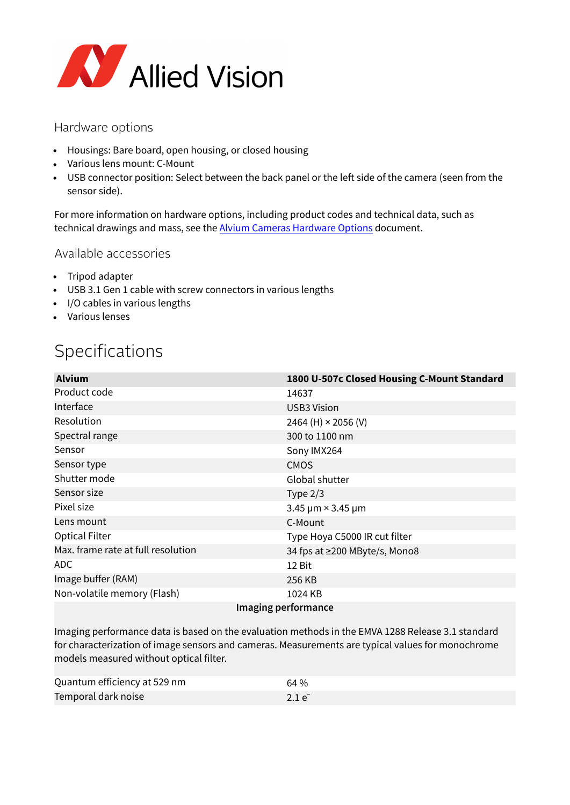

#### Hardware options

- Housings: Bare board, open housing, or closed housing
- Various lens mount: C-Mount
- USB connector position: Select between the back panel or the left side of the camera (seen from the sensor side).

For more information on hardware options, including product codes and technical data, such as technical drawings and mass, see the [Alvium Cameras Hardware Options](https://cdn.alliedvision.com/fileadmin/content/documents/products/cameras/Alvium_common/hardware-options/Alvium-Cameras_Hardware-Options.pdf) document.

#### Available accessories

- Tripod adapter
- USB 3.1 Gen 1 cable with screw connectors in various lengths
- I/O cables in various lengths
- Various lenses

### Specifications

| <b>Alvium</b>                      | 1800 U-507c Closed Housing C-Mount Standard |  |
|------------------------------------|---------------------------------------------|--|
| Product code                       | 14637                                       |  |
| Interface                          | <b>USB3 Vision</b>                          |  |
| Resolution                         | 2464 (H) $\times$ 2056 (V)                  |  |
| Spectral range                     | 300 to 1100 nm                              |  |
| Sensor                             | Sony IMX264                                 |  |
| Sensor type                        | <b>CMOS</b>                                 |  |
| Shutter mode                       | Global shutter                              |  |
| Sensor size                        | Type $2/3$                                  |  |
| Pixel size                         | 3.45 $\mu$ m × 3.45 $\mu$ m                 |  |
| Lens mount                         | C-Mount                                     |  |
| <b>Optical Filter</b>              | Type Hoya C5000 IR cut filter               |  |
| Max. frame rate at full resolution | 34 fps at ≥200 MByte/s, Mono8               |  |
| ADC.                               | 12 Bit                                      |  |
| Image buffer (RAM)                 | 256 KB                                      |  |
| Non-volatile memory (Flash)        | 1024 KB                                     |  |
| Imaging performance                |                                             |  |

Imaging performance data is based on the evaluation methods in the EMVA 1288 Release 3.1 standard for characterization of image sensors and cameras. Measurements are typical values for monochrome models measured without optical filter.

| Quantum efficiency at 529 nm | 64%        |
|------------------------------|------------|
| Temporal dark noise          | $2.1e^{-}$ |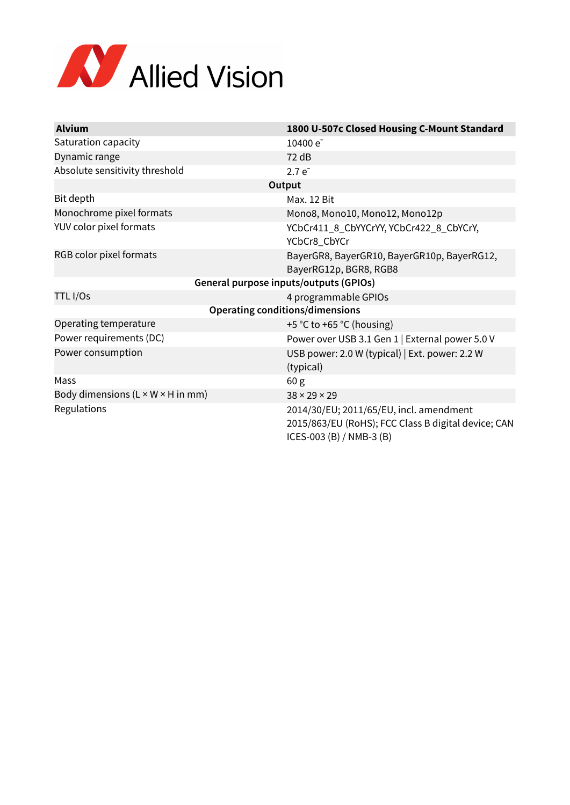

| <b>Alvium</b>                                 | 1800 U-507c Closed Housing C-Mount Standard                                                                                |  |
|-----------------------------------------------|----------------------------------------------------------------------------------------------------------------------------|--|
| Saturation capacity                           | 10400 e <sup>-</sup>                                                                                                       |  |
| Dynamic range                                 | 72 dB                                                                                                                      |  |
| Absolute sensitivity threshold                | $2.7e^{-}$                                                                                                                 |  |
| Output                                        |                                                                                                                            |  |
| Bit depth                                     | <b>Max. 12 Bit</b>                                                                                                         |  |
| Monochrome pixel formats                      | Mono8, Mono10, Mono12, Mono12p                                                                                             |  |
| YUV color pixel formats                       | YCbCr411_8_CbYYCrYY, YCbCr422_8_CbYCrY,<br>YCbCr8_CbYCr                                                                    |  |
| RGB color pixel formats                       | BayerGR8, BayerGR10, BayerGR10p, BayerRG12,<br>BayerRG12p, BGR8, RGB8                                                      |  |
| General purpose inputs/outputs (GPIOs)        |                                                                                                                            |  |
| TTL I/Os                                      | 4 programmable GPIOs                                                                                                       |  |
| <b>Operating conditions/dimensions</b>        |                                                                                                                            |  |
| Operating temperature                         | +5 °C to +65 °C (housing)                                                                                                  |  |
| Power requirements (DC)                       | Power over USB 3.1 Gen 1   External power 5.0 V                                                                            |  |
| Power consumption                             | USB power: 2.0 W (typical)   Ext. power: 2.2 W<br>(typical)                                                                |  |
| Mass                                          | 60 <sub>g</sub>                                                                                                            |  |
| Body dimensions $(L \times W \times H$ in mm) | $38 \times 29 \times 29$                                                                                                   |  |
| Regulations                                   | 2014/30/EU; 2011/65/EU, incl. amendment<br>2015/863/EU (RoHS); FCC Class B digital device; CAN<br>ICES-003 (B) / NMB-3 (B) |  |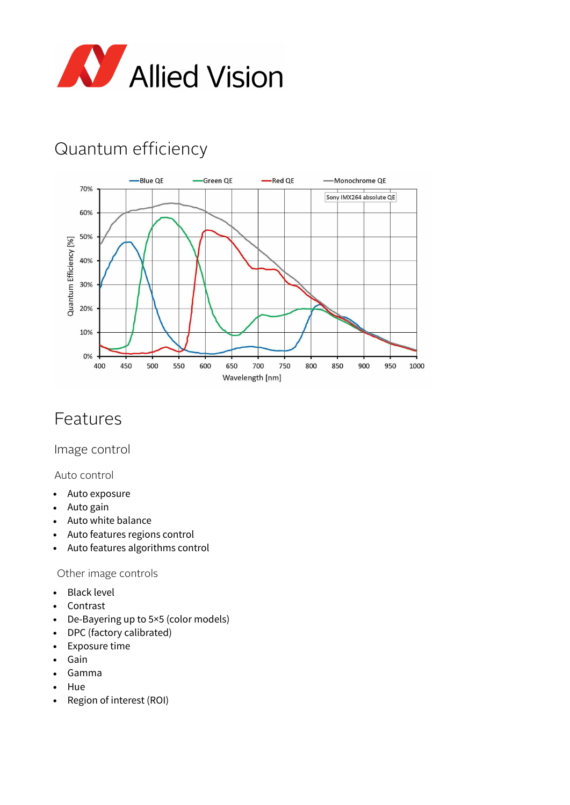

# Quantum efficiency



### Features

Image control

Auto control

- Auto exposure
- Auto gain
- Auto white balance
- Auto features regions control
- Auto features algorithms control

#### Other image controls

- Black level
- Contrast
- De-Bayering up to 5×5 (color models)
- DPC (factory calibrated)
- Exposure time
- Gain
- Gamma
- Hue
- Region of interest (ROI)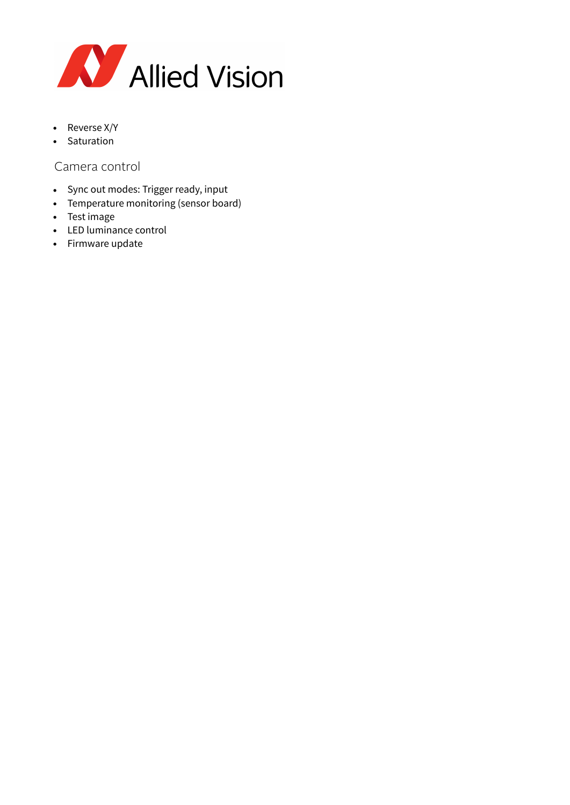

- Reverse X/Y
- Saturation

### Camera control

- Sync out modes: Trigger ready, input
- Temperature monitoring (sensor board)
- Test image
- LED luminance control
- Firmware update